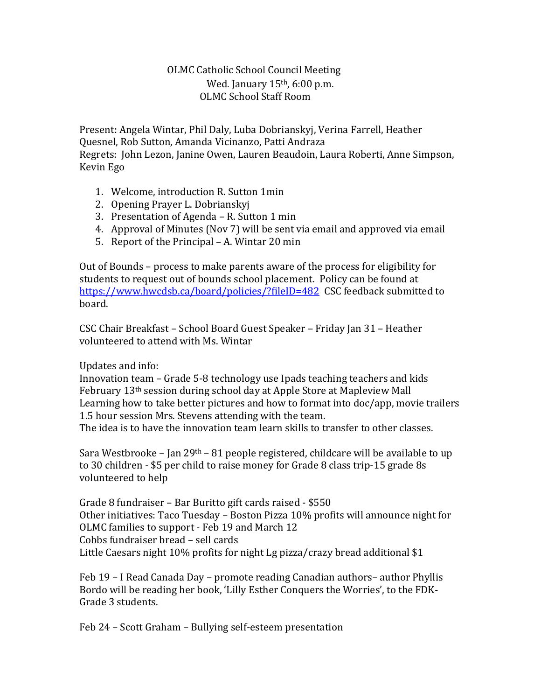## OLMC Catholic School Council Meeting Wed. January  $15<sup>th</sup>$ , 6:00 p.m. OLMC School Staff Room

Present: Angela Wintar, Phil Daly, Luba Dobrianskyj, Verina Farrell, Heather Quesnel, Rob Sutton, Amanda Vicinanzo, Patti Andraza Regrets: John Lezon, Janine Owen, Lauren Beaudoin, Laura Roberti, Anne Simpson, Kevin Ego

- 1. Welcome, introduction R. Sutton 1min
- 2. Opening Prayer L. Dobrianskyj
- 3. Presentation of Agenda R. Sutton 1 min
- 4. Approval of Minutes (Nov 7) will be sent via email and approved via email
- 5. Report of the Principal A. Wintar 20 min

Out of Bounds – process to make parents aware of the process for eligibility for students to request out of bounds school placement. Policy can be found at <https://www.hwcdsb.ca/board/policies/?fileID=482>CSC feedback submitted to board.

CSC Chair Breakfast – School Board Guest Speaker – Friday Jan 31 – Heather volunteered to attend with Ms. Wintar

## Updates and info:

Innovation team – Grade 5-8 technology use Ipads teaching teachers and kids February 13th session during school day at Apple Store at Mapleview Mall Learning how to take better pictures and how to format into doc/app, movie trailers 1.5 hour session Mrs. Stevens attending with the team. The idea is to have the innovation team learn skills to transfer to other classes.

Sara Westbrooke – Jan 29<sup>th</sup> – 81 people registered, childcare will be available to up to 30 children - \$5 per child to raise money for Grade 8 class trip-15 grade 8s volunteered to help

Grade 8 fundraiser – Bar Buritto gift cards raised - \$550 Other initiatives: Taco Tuesday – Boston Pizza 10% profits will announce night for OLMC families to support - Feb 19 and March 12 Cobbs fundraiser bread – sell cards Little Caesars night 10% profits for night Lg pizza/crazy bread additional \$1

Feb 19 – I Read Canada Day – promote reading Canadian authors– author Phyllis Bordo will be reading her book, 'Lilly Esther Conquers the Worries', to the FDK-Grade 3 students.

Feb 24 – Scott Graham – Bullying self-esteem presentation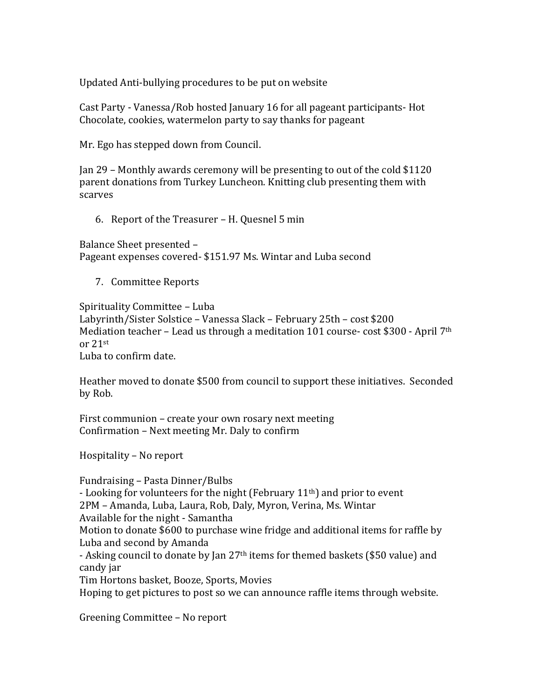Updated Anti-bullying procedures to be put on website

Cast Party - Vanessa/Rob hosted January 16 for all pageant participants- Hot Chocolate, cookies, watermelon party to say thanks for pageant

Mr. Ego has stepped down from Council.

Jan 29 – Monthly awards ceremony will be presenting to out of the cold \$1120 parent donations from Turkey Luncheon. Knitting club presenting them with scarves

6. Report of the Treasurer – H. Quesnel 5 min

Balance Sheet presented – Pageant expenses covered- \$151.97 Ms. Wintar and Luba second

7. Committee Reports

Spirituality Committee – Luba Labyrinth/Sister Solstice – Vanessa Slack – February 25th – cost \$200 Mediation teacher – Lead us through a meditation 101 course- cost \$300 - April  $7<sup>th</sup>$ or 21st

Luba to confirm date.

Heather moved to donate \$500 from council to support these initiatives. Seconded by Rob.

First communion – create your own rosary next meeting Confirmation – Next meeting Mr. Daly to confirm

Hospitality – No report

Fundraising – Pasta Dinner/Bulbs - Looking for volunteers for the night (February 11<sup>th</sup>) and prior to event 2PM – Amanda, Luba, Laura, Rob, Daly, Myron, Verina, Ms. Wintar Available for the night - Samantha Motion to donate \$600 to purchase wine fridge and additional items for raffle by Luba and second by Amanda - Asking council to donate by Jan 27th items for themed baskets (\$50 value) and candy jar Tim Hortons basket, Booze, Sports, Movies Hoping to get pictures to post so we can announce raffle items through website.

Greening Committee – No report